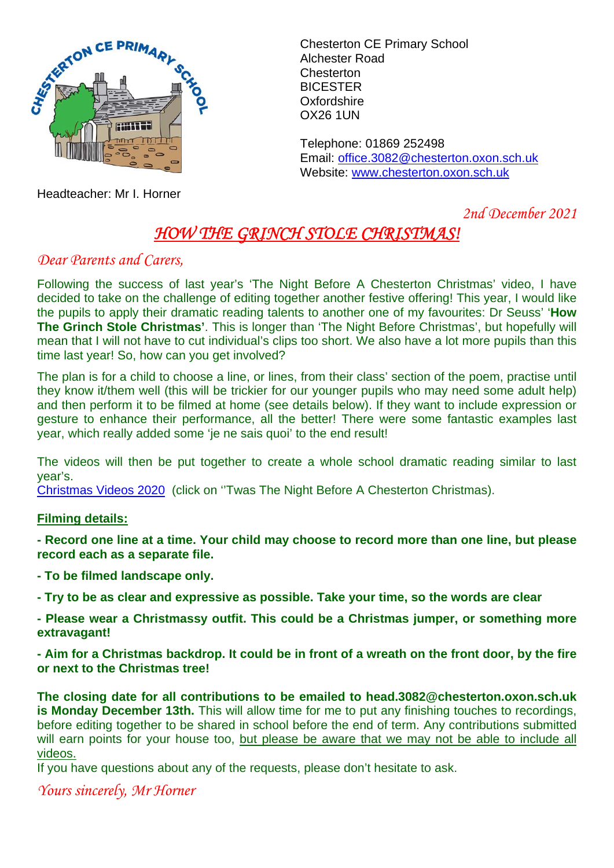

Headteacher: Mr I. Horner

Chesterton CE Primary School Alchester Road **Chesterton BICESTER Oxfordshire** OX26 1UN

Telephone: 01869 252498 Email: office.3082@chesterton.oxon.sch.uk Website: www.chesterton.oxon.sch.uk

*2nd December 2021* 

#### *HOW THE GRINCH STOLE CHRISTMAS!*

#### *Dear Parents and Carers,*

Following the success of last year's 'The Night Before A Chesterton Christmas' video, I have decided to take on the challenge of editing together another festive offering! This year, I would like the pupils to apply their dramatic reading talents to another one of my favourites: Dr Seuss' '**How The Grinch Stole Christmas'**. This is longer than 'The Night Before Christmas', but hopefully will mean that I will not have to cut individual's clips too short. We also have a lot more pupils than this time last year! So, how can you get involved?

The plan is for a child to choose a line, or lines, from their class' section of the poem, practise until they know it/them well (this will be trickier for our younger pupils who may need some adult help) and then perform it to be filmed at home (see details below). If they want to include expression or gesture to enhance their performance, all the better! There were some fantastic examples last year, which really added some 'je ne sais quoi' to the end result!

The videos will then be put together to create a whole school dramatic reading similar to last year's.

Christmas Videos 2020 (click on ''Twas The Night Before A Chesterton Christmas).

#### **Filming details:**

- **Record one line at a time. Your child may choose to record more than one line, but please record each as a separate file.**
- **To be filmed landscape only.**
- **Try to be as clear and expressive as possible. Take your time, so the words are clear**
- **Please wear a Christmassy outfit. This could be a Christmas jumper, or something more extravagant!**

**- Aim for a Christmas backdrop. It could be in front of a wreath on the front door, by the fire or next to the Christmas tree!** 

**The closing date for all contributions to be emailed to head.3082@chesterton.oxon.sch.uk is Monday December 13th.** This will allow time for me to put any finishing touches to recordings, before editing together to be shared in school before the end of term. Any contributions submitted will earn points for your house too, but please be aware that we may not be able to include all videos.

If you have questions about any of the requests, please don't hesitate to ask.

*Yours sincerely, Mr Horner*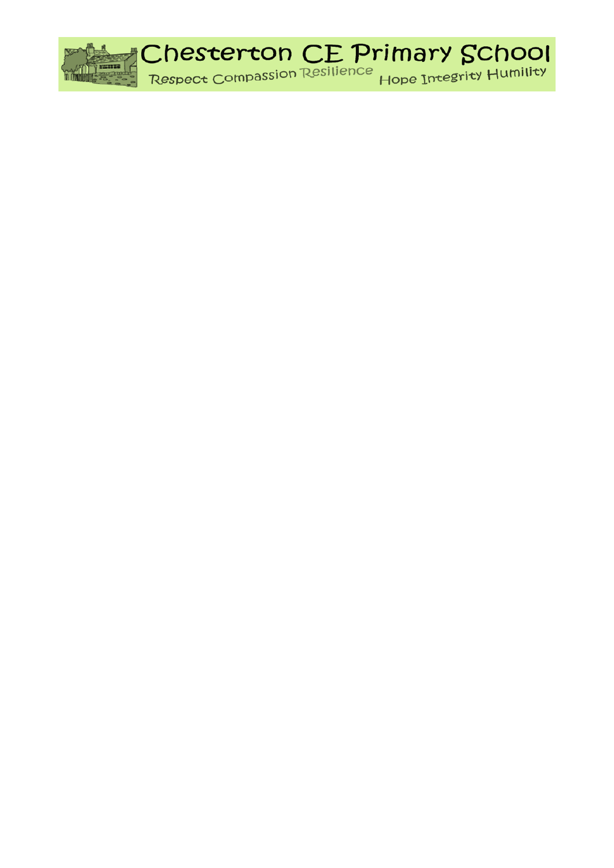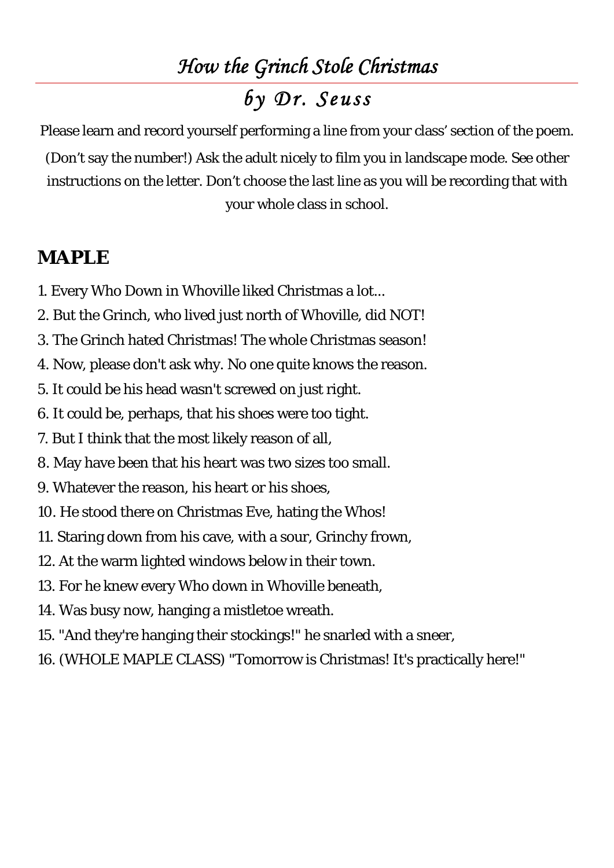### *by Dr. Seuss*

Please learn and record yourself performing a line from your class' section of the poem. (Don't say the number!) Ask the adult nicely to film you in landscape mode. See other instructions on the letter. Don't choose the last line as you will be recording that with your whole class in school.

### **MAPLE**

- 1. Every Who Down in Whoville liked Christmas a lot...
- 2. But the Grinch, who lived just north of Whoville, did NOT!
- 3. The Grinch hated Christmas! The whole Christmas season!
- 4. Now, please don't ask why. No one quite knows the reason.
- 5. It could be his head wasn't screwed on just right.
- 6. It could be, perhaps, that his shoes were too tight.
- 7. But I think that the most likely reason of all,
- 8. May have been that his heart was two sizes too small.
- 9. Whatever the reason, his heart or his shoes,
- 10. He stood there on Christmas Eve, hating the Whos!
- 11. Staring down from his cave, with a sour, Grinchy frown,
- 12. At the warm lighted windows below in their town.
- 13. For he knew every Who down in Whoville beneath,
- 14. Was busy now, hanging a mistletoe wreath.
- 15. "And they're hanging their stockings!" he snarled with a sneer,
- 16. (WHOLE MAPLE CLASS) "Tomorrow is Christmas! It's practically here!"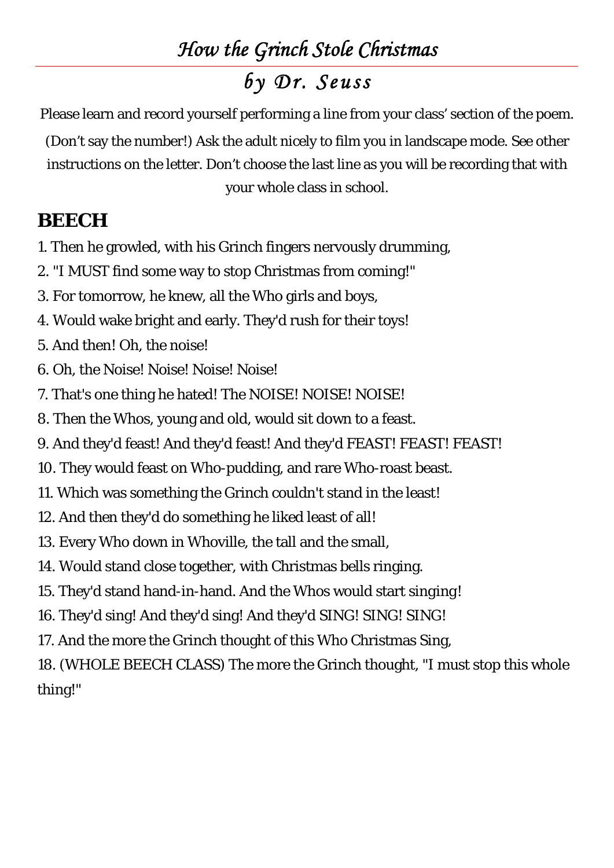### *by Dr. Seuss*

Please learn and record yourself performing a line from your class' section of the poem. (Don't say the number!) Ask the adult nicely to film you in landscape mode. See other instructions on the letter. Don't choose the last line as you will be recording that with your whole class in school.

#### **BEECH**

- 1. Then he growled, with his Grinch fingers nervously drumming,
- 2. "I MUST find some way to stop Christmas from coming!"
- 3. For tomorrow, he knew, all the Who girls and boys,
- 4. Would wake bright and early. They'd rush for their toys!
- 5. And then! Oh, the noise!
- 6. Oh, the Noise! Noise! Noise! Noise!
- 7. That's one thing he hated! The NOISE! NOISE! NOISE!
- 8. Then the Whos, young and old, would sit down to a feast.
- 9. And they'd feast! And they'd feast! And they'd FEAST! FEAST! FEAST!
- 10. They would feast on Who-pudding, and rare Who-roast beast.
- 11. Which was something the Grinch couldn't stand in the least!
- 12. And *then* they'd do something he liked least of all!
- 13. Every Who down in Whoville, the tall and the small,
- 14. Would stand close together, with Christmas bells ringing.
- 15. They'd stand hand-in-hand. And the Whos would start *singing*!
- 16. They'd sing! And they'd sing! And they'd SING! SING! SING!
- 17. And the more the Grinch thought of this Who Christmas Sing,
- 18. (WHOLE BEECH CLASS) The more the Grinch thought, "I must stop this whole thing!"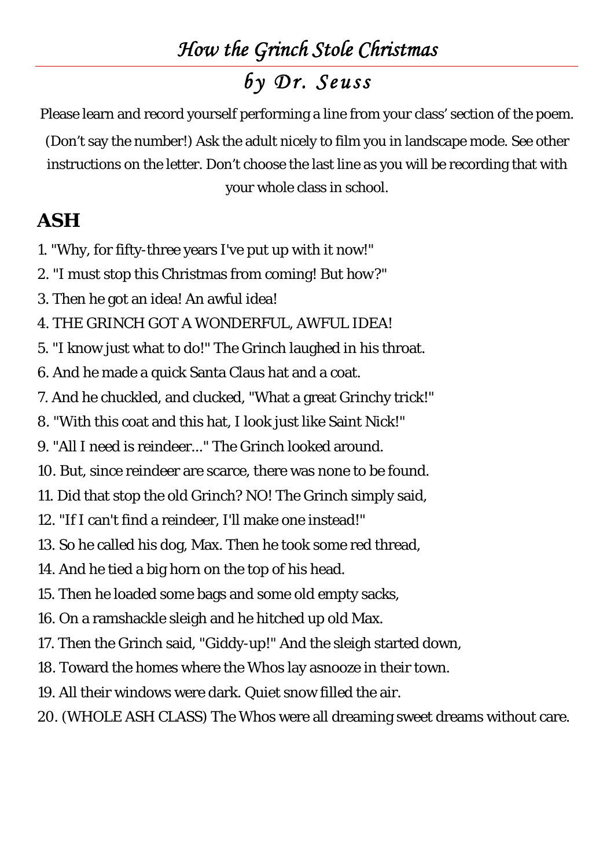### *by Dr. Seuss*

Please learn and record yourself performing a line from your class' section of the poem. (Don't say the number!) Ask the adult nicely to film you in landscape mode. See other instructions on the letter. Don't choose the last line as you will be recording that with your whole class in school.

#### **ASH**

- 1. "Why, for fifty-three years I've put up with it now!"
- 2. "I *must* stop this Christmas from coming! But *how*?"
- 3. Then he got an idea! An awful idea!
- 4. THE GRINCH GOT A WONDERFUL, AWFUL IDEA!
- 5. "I know just what to do!" The Grinch laughed in his throat.
- 6. And he made a quick Santa Claus hat and a coat.
- 7. And he chuckled, and clucked, "What a great Grinchy trick!"
- 8. "With this coat and this hat, I look just like Saint Nick!"
- 9. "All I need is reindeer..." The Grinch looked around.
- 10. But, since reindeer are scarce, there was none to be found.
- 11. Did that stop the old Grinch? NO! The Grinch simply said,
- 12. "If I can't find a reindeer, I'll make one instead!"
- 13. So he called his dog, Max. Then he took some red thread,
- 14. And he tied a big horn on the top of his head.
- 15. Then he loaded some bags and some old empty sacks,
- 16. On a ramshackle sleigh and he hitched up old Max.
- 17. Then the Grinch said, "Giddy-up!" And the sleigh started down,
- 18. Toward the homes where the Whos lay asnooze in their town.
- 19. All their windows were dark. Quiet snow filled the air.
- 20. (WHOLE ASH CLASS) The Whos were all dreaming sweet dreams without care.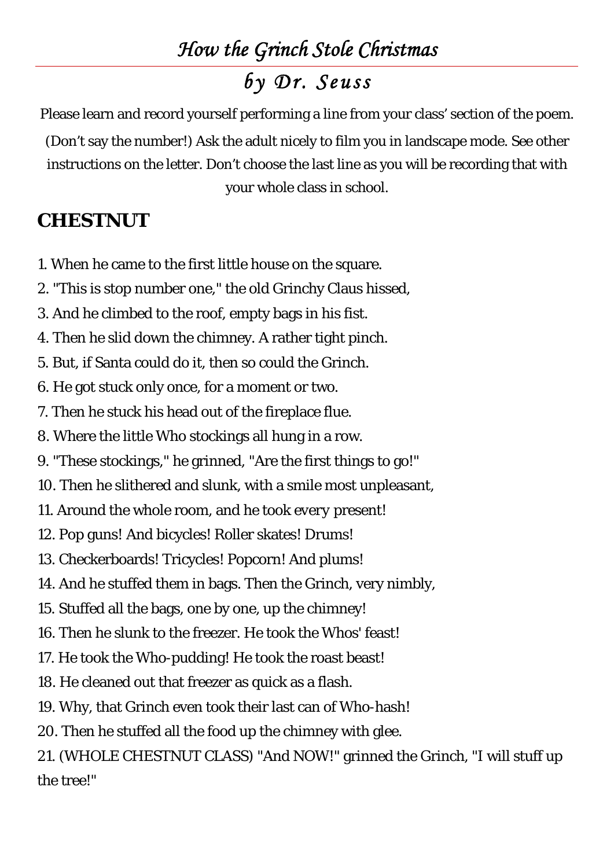### *by Dr. Seuss*

Please learn and record yourself performing a line from your class' section of the poem. (Don't say the number!) Ask the adult nicely to film you in landscape mode. See other instructions on the letter. Don't choose the last line as you will be recording that with your whole class in school.

#### **CHESTNUT**

- 1. When he came to the first little house on the square.
- 2. "This is stop number one," the old Grinchy Claus hissed,
- 3. And he climbed to the roof, empty bags in his fist.
- 4. Then he slid down the chimney. A rather tight pinch.
- 5. But, if Santa could do it, then so could the Grinch.
- 6. He got stuck only once, for a moment or two.
- 7. Then he stuck his head out of the fireplace flue.
- 8. Where the little Who stockings all hung in a row.
- 9. "These stockings," he grinned, "Are the first things to go!"
- 10. Then he slithered and slunk, with a smile most unpleasant,
- 11. Around the whole room, and he took *every* present!
- 12. Pop guns! And bicycles! Roller skates! Drums!
- 13. Checkerboards! Tricycles! Popcorn! And plums!
- 14. And he stuffed them in bags. Then the Grinch, very nimbly,
- 15. Stuffed all the bags, one by one, up the chimney!
- 16. Then he slunk to the freezer. He took the Whos' feast!
- 17. He took the Who-pudding! He took the roast beast!
- 18. He cleaned out that freezer as quick as a flash.
- 19. Why, that Grinch even took their last can of Who-hash!
- 20. Then he stuffed all the food up the chimney with glee.
- 21. (WHOLE CHESTNUT CLASS) "And NOW!" grinned the Grinch, "I will stuff up the tree!"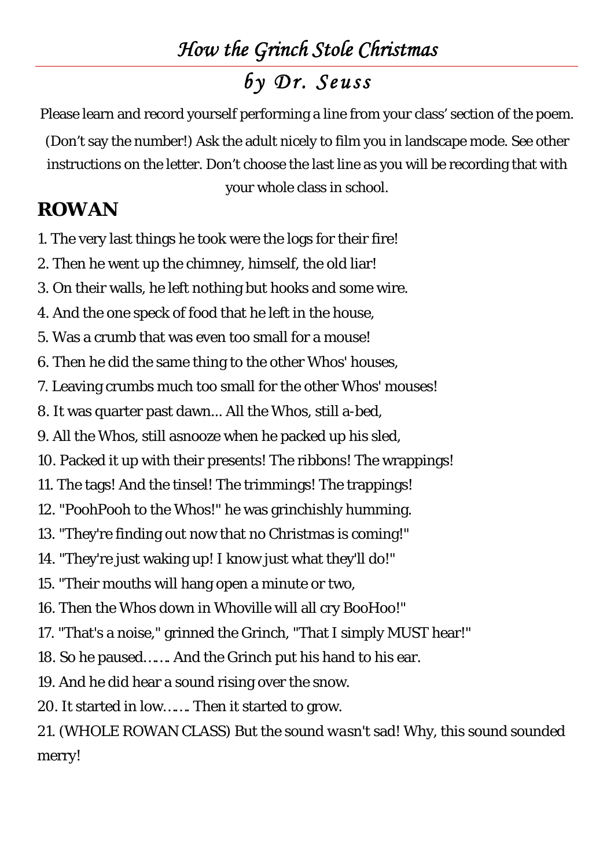## *by Dr. Seuss*

Please learn and record yourself performing a line from your class' section of the poem. (Don't say the number!) Ask the adult nicely to film you in landscape mode. See other instructions on the letter. Don't choose the last line as you will be recording that with your whole class in school.

#### **ROWAN**

1. The very last things he took were the logs for their fire!

2. Then he went up the chimney, himself, the old liar!

3. On their walls, he left nothing but hooks and some wire.

4. And the one speck of food that he left in the house,

5. Was a crumb that was even too small for a mouse!

6. Then he did the same thing to the other Whos' houses,

7. Leaving crumbs much too small for the other Whos' mouses!

8. It was quarter past dawn... All the Whos, still a-bed,

9. All the Whos, still asnooze when he packed up his sled,

10. Packed it up with their presents! The ribbons! The wrappings!

11. The tags! And the tinsel! The trimmings! The trappings!

12. "PoohPooh to the Whos!" he was grinchishly humming.

13. "They're finding out now that no Christmas is coming!"

14. "They're just waking up! I know just what they'll do!"

15. "Their mouths will hang open a minute or two,

- 16. Then the Whos down in Whoville will all cry BooHoo!"
- 17. "That's a noise," grinned the Grinch, "That I simply MUST hear!"
- 18. So he paused……. And the Grinch put his hand to his ear.

19. And he *did* hear a sound rising over the snow.

20. It started in low……. Then it started to grow.

21. (WHOLE ROWAN CLASS) But the sound *wasn't* sad! Why, this sound sounded merry!